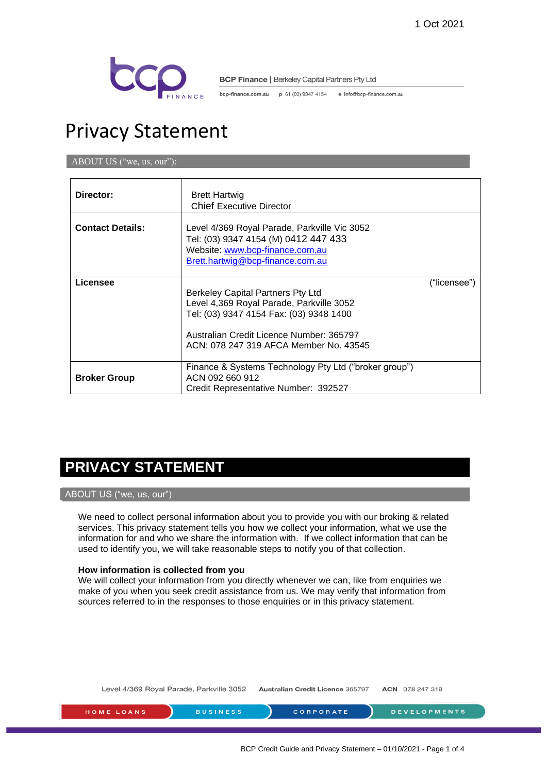

bcp-finance.com.au p 61 (03) 9347 4154 e info@bcp-finance.com.au

# Privacy Statement

ABOUT US ("we, us, our"):

| Director:               | <b>Brett Hartwig</b><br><b>Chief Executive Director</b>                                                                                                                                                        |              |
|-------------------------|----------------------------------------------------------------------------------------------------------------------------------------------------------------------------------------------------------------|--------------|
| <b>Contact Details:</b> | Level 4/369 Royal Parade, Parkville Vic 3052<br>Tel: (03) 9347 4154 (M) 0412 447 433<br>Website: www.bcp-finance.com.au<br>Brett.hartwig@bcp-finance.com.au                                                    |              |
| Licensee                | Berkeley Capital Partners Pty Ltd<br>Level 4,369 Royal Parade, Parkville 3052<br>Tel: (03) 9347 4154 Fax: (03) 9348 1400<br>Australian Credit Licence Number: 365797<br>ACN: 078 247 319 AFCA Member No. 43545 | ("licensee") |
| <b>Broker Group</b>     | Finance & Systems Technology Pty Ltd ("broker group")<br>ACN 092 660 912<br>Credit Representative Number: 392527                                                                                               |              |

# **PRIVACY STATEMENT**

# ABOUT US ("we, us, our")

We need to collect personal information about you to provide you with our broking & related services. This privacy statement tells you how we collect your information, what we use the information for and who we share the information with. If we collect information that can be used to identify you, we will take reasonable steps to notify you of that collection.

# **How information is collected from you**

We will collect your information from you directly whenever we can, like from enquiries we make of you when you seek credit assistance from us. We may verify that information from sources referred to in the responses to those enquiries or in this privacy statement.

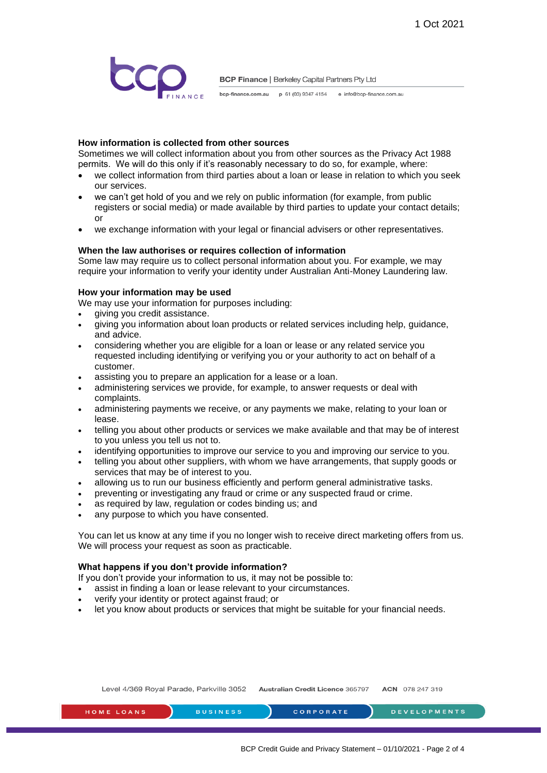

bcp-finance.com.au p 61 (03) 9347 4154 e info@bcp-finance.com.au

# **How information is collected from other sources**

Sometimes we will collect information about you from other sources as the Privacy Act 1988 permits. We will do this only if it's reasonably necessary to do so, for example, where:

- we collect information from third parties about a loan or lease in relation to which you seek our services.
- we can't get hold of you and we rely on public information (for example, from public registers or social media) or made available by third parties to update your contact details; or
- we exchange information with your legal or financial advisers or other representatives.

#### **When the law authorises or requires collection of information**

Some law may require us to collect personal information about you. For example, we may require your information to verify your identity under Australian Anti-Money Laundering law.

#### **How your information may be used**

We may use your information for purposes including:

- giving you credit assistance.
- giving you information about loan products or related services including help, guidance, and advice.
- considering whether you are eligible for a loan or lease or any related service you requested including identifying or verifying you or your authority to act on behalf of a customer.
- assisting you to prepare an application for a lease or a loan.
- administering services we provide, for example, to answer requests or deal with complaints.
- administering payments we receive, or any payments we make, relating to your loan or lease.
- telling you about other products or services we make available and that may be of interest to you unless you tell us not to.
- identifying opportunities to improve our service to you and improving our service to you.
- telling you about other suppliers, with whom we have arrangements, that supply goods or services that may be of interest to you.
- allowing us to run our business efficiently and perform general administrative tasks.
- preventing or investigating any fraud or crime or any suspected fraud or crime.
- as required by law, regulation or codes binding us; and
- any purpose to which you have consented.

You can let us know at any time if you no longer wish to receive direct marketing offers from us. We will process your request as soon as practicable.

# **What happens if you don't provide information?**

If you don't provide your information to us, it may not be possible to:

- assist in finding a loan or lease relevant to your circumstances.
- verify your identity or protect against fraud; or
- let you know about products or services that might be suitable for your financial needs.

| Level 4/369 Royal Parade, Parkville 3052 |                 | <b>Australian Credit Licence 365797</b> | <b>ACN</b> 078 247 319 |
|------------------------------------------|-----------------|-----------------------------------------|------------------------|
| <b>HOME LOANS</b>                        | <b>BUSINESS</b> | <b>CORPORATE</b>                        | <b>DEVELOPMENTS</b>    |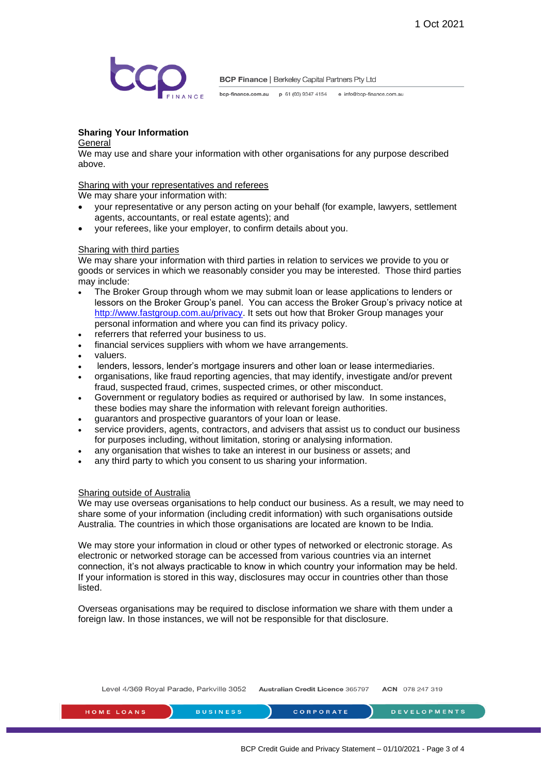

bcp-finance.com.au p 61 (03) 9347 4154 e info@bcp-finance.com.au

# **Sharing Your Information**

#### **General**

We may use and share your information with other organisations for any purpose described above.

### Sharing with your representatives and referees

We may share your information with:

- your representative or any person acting on your behalf (for example, lawyers, settlement agents, accountants, or real estate agents); and
- your referees, like your employer, to confirm details about you.

#### Sharing with third parties

We may share your information with third parties in relation to services we provide to you or goods or services in which we reasonably consider you may be interested. Those third parties may include:

- The Broker Group through whom we may submit loan or lease applications to lenders or lessors on the Broker Group's panel. You can access the Broker Group's privacy notice at [http://www.fastgroup.com.au/privacy.](http://www.fastgroup.com.au/privacy) It sets out how that Broker Group manages your personal information and where you can find its privacy policy.
- referrers that referred your business to us.
- financial services suppliers with whom we have arrangements.
- valuers.
- lenders, lessors, lender's mortgage insurers and other loan or lease intermediaries.
- organisations, like fraud reporting agencies, that may identify, investigate and/or prevent fraud, suspected fraud, crimes, suspected crimes, or other misconduct.
- Government or regulatory bodies as required or authorised by law. In some instances, these bodies may share the information with relevant foreign authorities.
- guarantors and prospective guarantors of your loan or lease.
- service providers, agents, contractors, and advisers that assist us to conduct our business for purposes including, without limitation, storing or analysing information.
- any organisation that wishes to take an interest in our business or assets; and
- any third party to which you consent to us sharing your information.

#### Sharing outside of Australia

We may use overseas organisations to help conduct our business. As a result, we may need to share some of your information (including credit information) with such organisations outside Australia. The countries in which those organisations are located are known to be India.

We may store your information in cloud or other types of networked or electronic storage. As electronic or networked storage can be accessed from various countries via an internet connection, it's not always practicable to know in which country your information may be held. If your information is stored in this way, disclosures may occur in countries other than those listed.

Overseas organisations may be required to disclose information we share with them under a foreign law. In those instances, we will not be responsible for that disclosure.